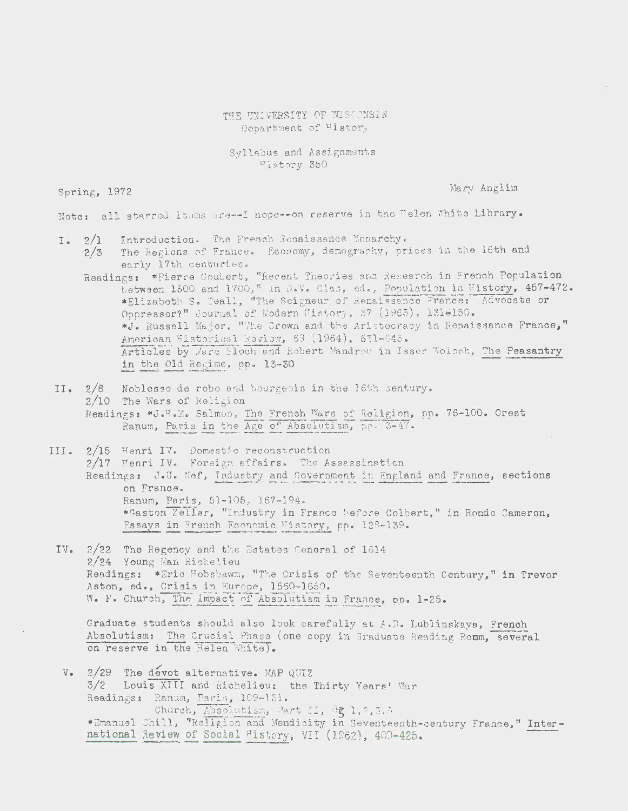THE UNIVERSITY OF WESCONSIN Department of Wistory

Syllabus and Assignments "istery 350

Spring, 1972

Mary Anglim

 $\mathcal{L}_{\mathcal{A}}$ 

Note: all starred items are -- I hope -- on reserve in the Welen White Library.

- I. 2/1 Introduction. The French Renaissance Monarchy.
	- The Regions of France. Economy, demography, prices in the 16th and  $2/3$ early 17th centuries.
	- Readings: \*Pierre Goubert, "Recent Theories and Research in French Population between 1500 and 1700," in D.V. Glas, ed., Population in Wistory, 457-472. \*Elizabeth S. Teall, "The Seigneur of Renaissance France: Advocate or Oppressor?" Journal of Modern Wistory, 37 (1965), 1310150. \*J. Russell Major, "The Crown and the Aristocracy in Renaissance France," American Historical Ravisw, 69 (1964), 631-645. Articles by Ware Bloch and Robert Mandrow in Isser Wolcoh, The Peasantry in the Old Regime, pp. 13-30
- $2/8$  Noblesse de robe and bourgebis in the 16th sentury.  $II$ . 2/10 The Wars of Religion Readings: \*J.H.M. Salmon, The French Wars of Religion, pp. 76-100. Orest Ranum, Paris in the Age of Absolutism, pp. 3-47.
- $2/15$  Henri IV. Domestic reconstruction III.  $2/17$  Henri IV. Foreign affairs. The Assassination Readings: J.U. Nef, Industry and Government in England and France, sections on France. Ranum, Paris, 51-105, 167-194. \*Gaston Zeller, "Industry in France before Colbert," in Rondo Cameron, Essays in French Economic Wistory, pp. 128-139.
	- IV. 2/22 The Regency and the Estates General of 1614 2/24 Young Man Richelieu Readings: \*Eric Hobsbawm, "The Crisis of the Seventeenth Century," in Trevor Aston, ed., Crisis in Europe, 1560-1660. W. F. Church, The Impact of Absolutism in France, pp. 1-25.

Graduate students should also look carefully at A.D. Lublinskaya, French Absolutism: The Crucial Phase (one copy in Graduate Reading Romm, several on reserve in the Helen White).

V. 2/29 The devot alternative. MAP QUIZ 3/2 Louis XIII and Richelieu: the Thirty Years' War Readings: Ranum, Paris, 109-131. Church, Absolutism, Part II, 42 1, 2, 3, 5 \*Emanuel Chill, "Religion and Mendicity in Seventeenth-century France," International Review of Social "istory, VII (1962), 400-425.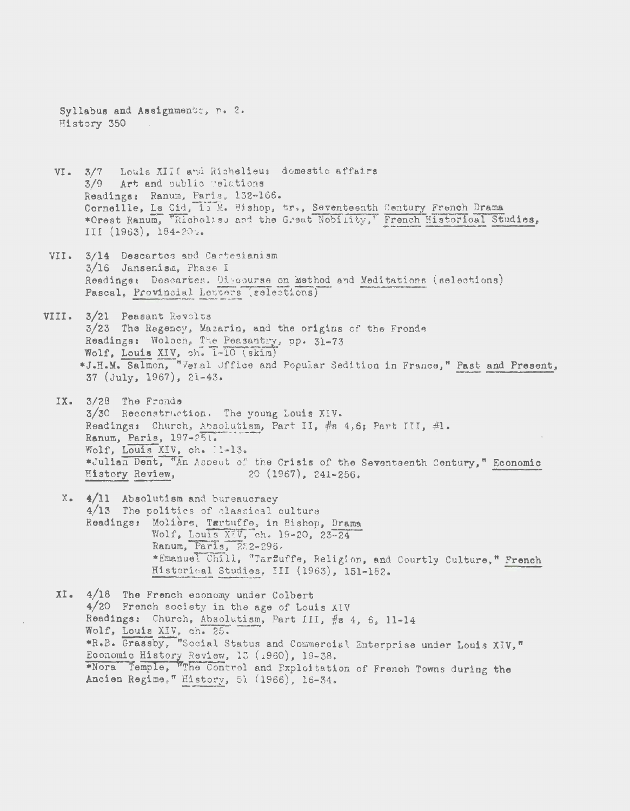Syllabus and Assignments, n. 2. History 350 vr. 3/7 Louis XIII and Richelieua domestic affairs 3/9 Art and publio relations Readings: Ranum, Paris, 132-166. Corneille, Le Cid, in M. Bishop, tr., Seventeenth Century French Drama \*Orest Ranum, "Richelisu and the Great Nobility," French Historical Studies, III  $(1963)$ ,  $184-20$ VII. 3/14 Descartes and Cartesianism 3/16 Jansenism, Phase I Readings: Descartes, Discourse on Method and Meditations (selections) Pascal, Provincial Letters (selections) VIII. 3/21 Peasant Revolts 3/23 The Regency, Mazarin, and the origins of the Fronde Readings: Woloch, The Peasantry, pp. 31-73 Wolf, Louis XIV, ch. 1-10 (skim) \*J.H.M. Salmon, "Venal Office and Popular Sedition in France," Past and Present, 37 (July, 1967), 21-43. IX. 3/28 The Fronde 3/30 Reconstruction. The young Louis XIV. Readings: Church, Absolutism, Part II,  $#s$  4,6; Part III,  $#1$ . Ranum, Paris, 197-251. Wolf, Louis XIV, ch. 11-13. \*Julian Dent, "An Aspect of the Crisis of the Seventeenth Century," Economic History Review, 20 (1967), 241-256.  $20(1967)$ ,  $241-256$ . X. **4/11** Absolutism and bureaucracy 4/13 The politics of classical culture Readings: Molière, Tartuffe, in Bishop, Drama Wolf, Louis XIV, ch. 19-20, 23-24 Ranum, Paris, 252-296. \*Emanuel Chill, "Tarfuffe, Religion, and Courtly Culture," French Historical Studies, III (1963), 151-182. XI. 4/18 The French economy under Colbert 4/20 French society in the age of Louis XIV Readings: Church, Absolutism, Part III, #s 4, 6, 11-14 Wolf, Louis XIV, ch. 25. •R.B. Grassby:-"social Status and Commercial Enterprise under Louis XIV," Economic History Review, 13 (1960), 19-38. •Nora Temple, "The Control and Exploitation of French Towns during the Ancien Regime," History, 51 (1966), 16-34.